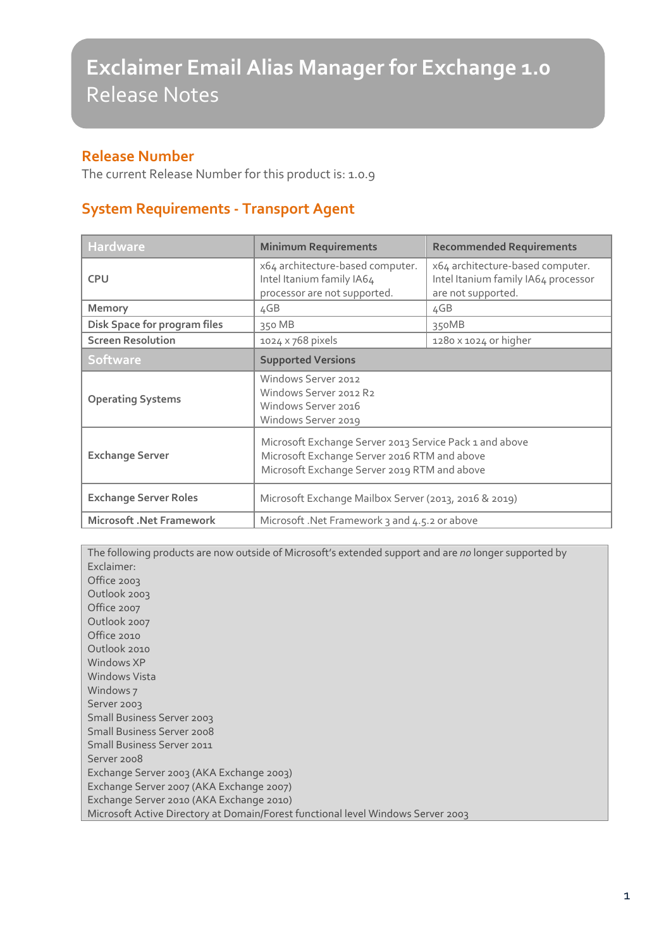#### **Release Number**

The current Release Number for this product is: 1.0.9

#### **System Requirements - Transport Agent**

| <b>Hardware</b>                     | <b>Minimum Requirements</b>                                                                                                                             | <b>Recommended Requirements</b>                                                               |
|-------------------------------------|---------------------------------------------------------------------------------------------------------------------------------------------------------|-----------------------------------------------------------------------------------------------|
| <b>CPU</b>                          | x64 architecture-based computer.<br>Intel Itanium family IA64<br>processor are not supported.                                                           | x64 architecture-based computer.<br>Intel Itanium family IA64 processor<br>are not supported. |
| Memory                              | 4GB                                                                                                                                                     | 4GB                                                                                           |
| <b>Disk Space for program files</b> | 350 MB                                                                                                                                                  | 350MB                                                                                         |
| <b>Screen Resolution</b>            | 1024 x 768 pixels                                                                                                                                       | $1280 \times 1024$ or higher                                                                  |
| <b>Software</b>                     | <b>Supported Versions</b>                                                                                                                               |                                                                                               |
| <b>Operating Systems</b>            | Windows Server 2012<br>Windows Server 2012 R2<br>Windows Server 2016<br>Windows Server 2019                                                             |                                                                                               |
| <b>Exchange Server</b>              | Microsoft Exchange Server 2013 Service Pack 1 and above<br>Microsoft Exchange Server 2016 RTM and above<br>Microsoft Exchange Server 2019 RTM and above |                                                                                               |
| <b>Exchange Server Roles</b>        | Microsoft Exchange Mailbox Server (2013, 2016 & 2019)                                                                                                   |                                                                                               |
| <b>Microsoft .Net Framework</b>     | Microsoft .Net Framework 3 and 4.5.2 or above                                                                                                           |                                                                                               |

The following products are now outside of Microsoft's extended support and are *no* longer supported by Exclaimer: Office 2003 Outlook 2003 Office 2007 Outlook 2007 Office 2010 Outlook 2010 Windows XP Windows Vista Windows 7 Server 2003 Small Business Server 2003 Small Business Server 2008 Small Business Server 2011 Server 2008 Exchange Server 2003 (AKA Exchange 2003) Exchange Server 2007 (AKA Exchange 2007) Exchange Server 2010 (AKA Exchange 2010) Microsoft Active Directory at Domain/Forest functional level Windows Server 2003